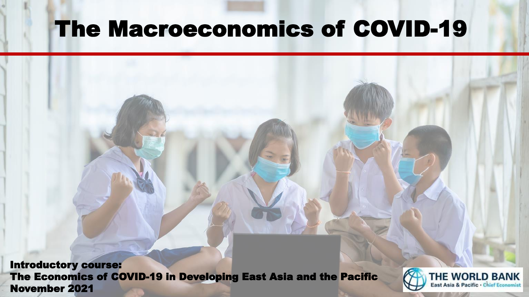# The Macroeconomics of COVID-19

Introductory course: The Economics of COVID-19 in Developing East Asia and the Pacific The Economics of COVID-19 in Developing East Asia and the Pacific **Carl THE WORLD BANK**<br>November 2021

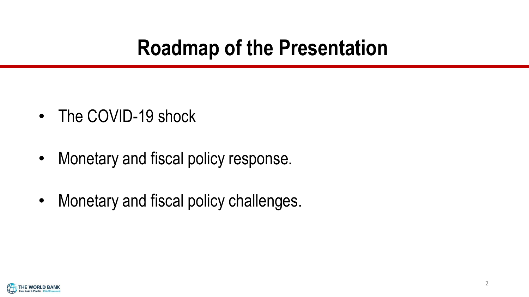## **Roadmap of the Presentation**

- The COVID-19 shock
- Monetary and fiscal policy response.
- Monetary and fiscal policy challenges.

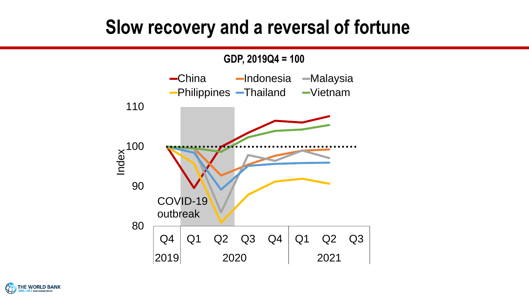#### **Slow recovery and a reversal of fortune**



**HE WORLD BANK**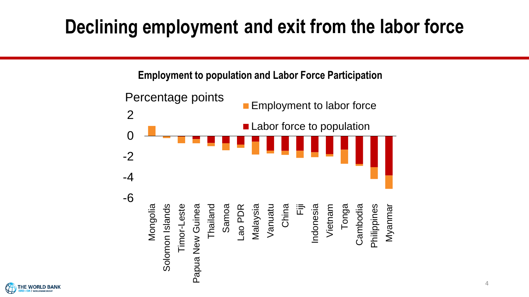-2<br>-4<br>-6 -4 -2 0 0 2 2Mongolia<br>Timor-Leste<br>Timor-Leste<br>Thailand Samoa New Guinea<br>Samoa New Samoa<br>Malaysia Vanuatu China Tonga<br>Vietnam<br>Cambodia<br>Philippines<br>Cambodia Percentage points<br>
Employment to labor force **Employment to population and Labor Force Participation** Mongolia<br>Timor-Leste<br>Timor-Leste<br>Thailand<br>Samoa<br>Samoa New Guinea<br>Samoa<br>Cambodia<br>Vietnam<br>Vietnam<br>Cambodia<br>Philippines ■ Labor force to population **Declining employment and exit from the labor force**<br>
Employment to population and Labor Force Participation<br>
Percentage points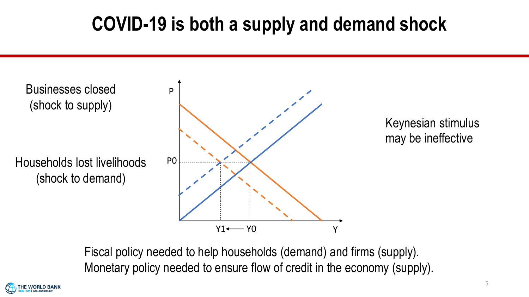## **COVID-19 is both a supply and demand shock**



Fiscal policy needed to help households (demand) and firms (supply). Monetary policy needed to ensure flow of credit in the economy (supply).

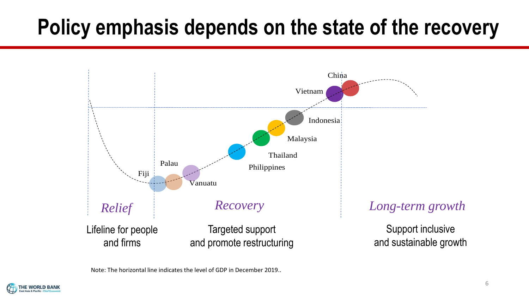# **Policy emphasis depends on the state of the recovery**



Note: The horizontal line indicates the level of GDP in December 2019..

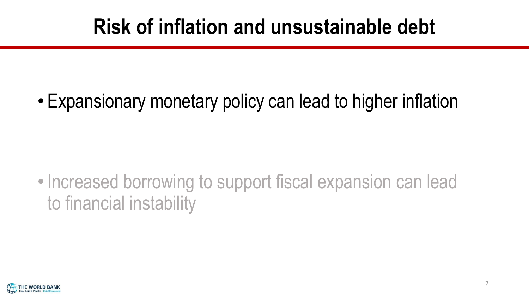# **Risk of inflation and unsustainable debt**

• Expansionary monetary policy can lead to higher inflation

• Increased borrowing to support fiscal expansion can lead to financial instability

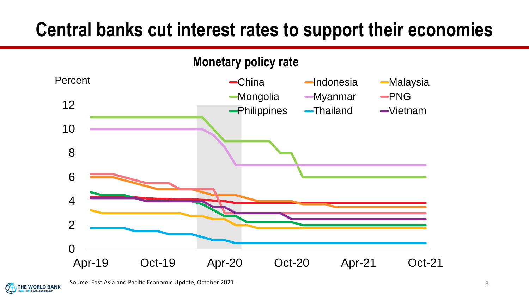### **Central banks cut interest rates to support their economies**





Source: East Asia and Pacific Economic Update, October 2021.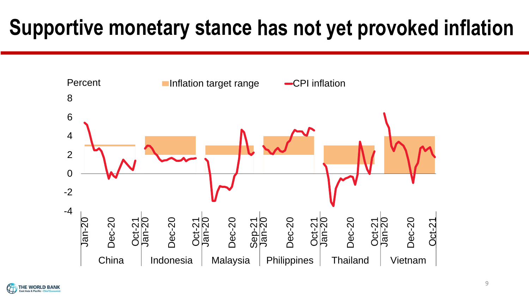# **Supportive monetary stance has not yet provoked inflation**



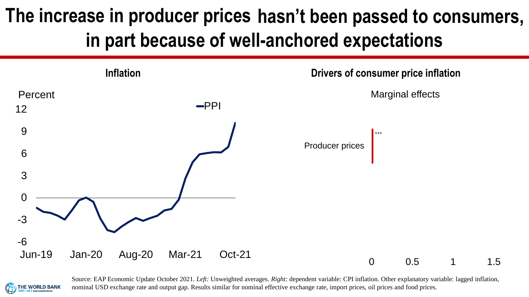# **The increase in producer prices hasn't been passed to consumers, in part because of well-anchored expectations**



HE WORLD BANK

Source: EAP Economic Update October 2021. *Left:* Unweighted averages. *Right:* dependent variable: CPI inflation. Other explanatory variable: lagged inflation, nominal USD exchange rate and output gap. Results similar for nominal effective exchange rate, import prices, oil prices and food prices.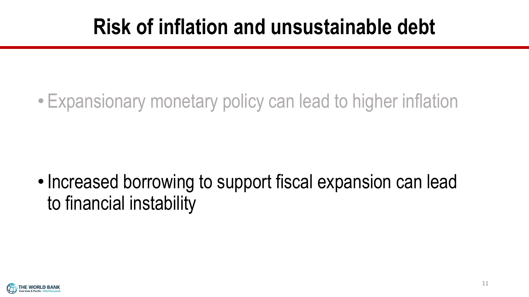# **Risk of inflation and unsustainable debt**

• Expansionary monetary policy can lead to higher inflation

•Increased borrowing to support fiscal expansion can lead to financial instability

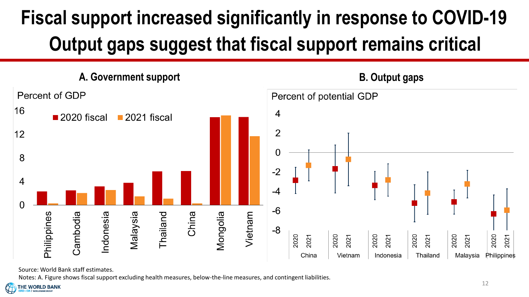# **Fiscal support increased significantly in response to COVID-19 Output gaps suggest that fiscal support remains critical**



Source: World Bank staff estimates.

Notes: A. Figure shows fiscal support excluding health measures, below-the-line measures, and contingent liabilities.

**THE WORLD BANK**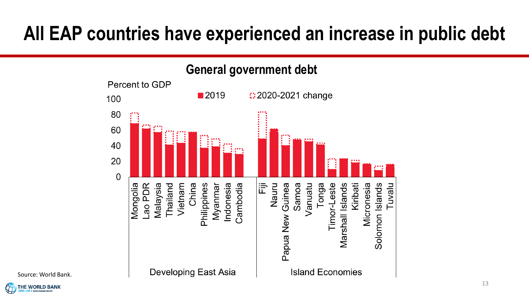## **All EAP countries have experienced an increase in public debt**



Source: World Bank.

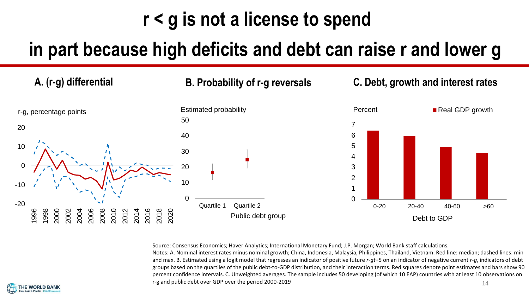## **r < g is not a license to spend**

#### **in part because high deficits and debt can raise r and lower g**



Source: Consensus Economics; Haver Analytics; International Monetary Fund; J.P. Morgan; World Bank staff calculations.

Notes: A. Nominal interest rates minus nominal growth; China, Indonesia, Malaysia, Philippines, Thailand, Vietnam. Red line: median; dashed lines: min and max. B. Estimated using a logit model that regresses an indicator of positive future *r-gt*+5 on an indicator of negative current *r-g*, indicators of debt groups based on the quartiles of the public debt-to-GDP distribution, and their interaction terms. Red squares denote point estimates and bars show 90 percent confidence intervals. C. Unweighted averages. The sample includes 50 developing (of which 10 EAP) countries with at least 10 observations on r-g and public debt over GDP over the period 2000-2019 14

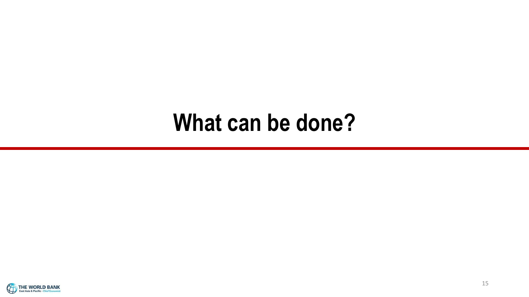# **What can be done?**

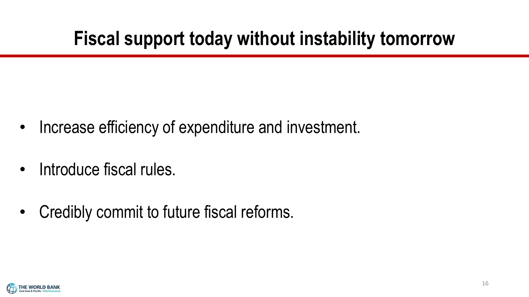## **Fiscal support today without instability tomorrow**

- Increase efficiency of expenditure and investment.
- Introduce fiscal rules.
- Credibly commit to future fiscal reforms.

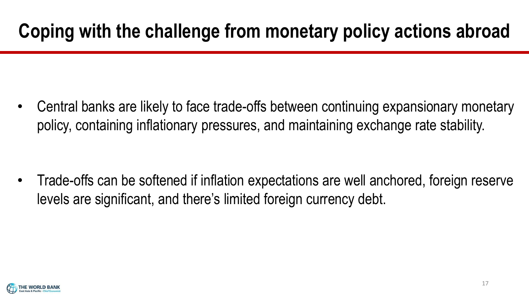# **Coping with the challenge from monetary policy actions abroad**

• Central banks are likely to face trade-offs between continuing expansionary monetary policy, containing inflationary pressures, and maintaining exchange rate stability.

• Trade-offs can be softened if inflation expectations are well anchored, foreign reserve levels are significant, and there's limited foreign currency debt.

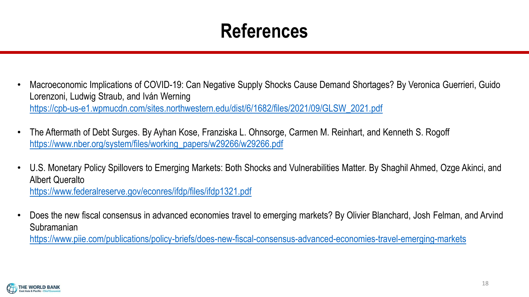### **References**

- Macroeconomic Implications of COVID-19: Can Negative Supply Shocks Cause Demand Shortages? By Veronica Guerrieri, Guido Lorenzoni, Ludwig Straub, and Iván Werning [https://cpb-us-e1.wpmucdn.com/sites.northwestern.edu/dist/6/1682/files/2021/09/GLSW\\_2021.pdf](https://cpb-us-e1.wpmucdn.com/sites.northwestern.edu/dist/6/1682/files/2021/09/GLSW_2021.pdf)
- The Aftermath of Debt Surges. By Ayhan Kose, Franziska L. Ohnsorge, Carmen M. Reinhart, and Kenneth S. Rogoff [https://www.nber.org/system/files/working\\_papers/w29266/w29266.pdf](https://www.nber.org/system/files/working_papers/w29266/w29266.pdf)
- U.S. Monetary Policy Spillovers to Emerging Markets: Both Shocks and Vulnerabilities Matter. By Shaghil Ahmed, Ozge Akinci, and Albert Queralto <https://www.federalreserve.gov/econres/ifdp/files/ifdp1321.pdf>
- Does the new fiscal consensus in advanced economies travel to emerging markets? By Olivier Blanchard, Josh Felman, and Arvind Subramanian

<https://www.piie.com/publications/policy-briefs/does-new-fiscal-consensus-advanced-economies-travel-emerging-markets>